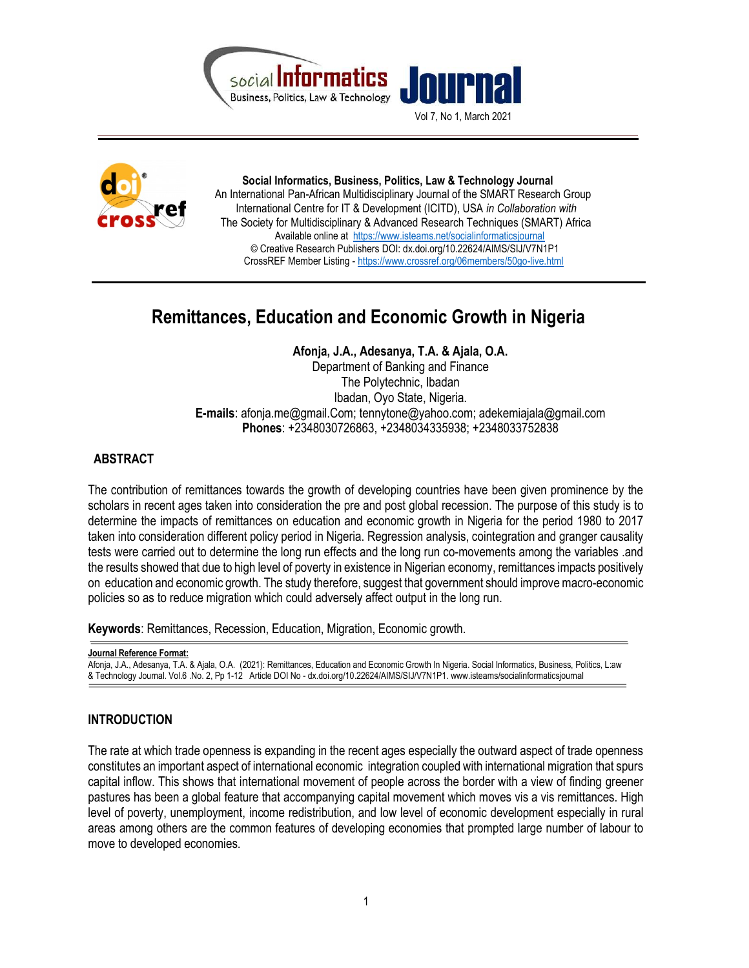

Vol 7, No 1, March 2021



 Social Informatics, Business, Politics, Law & Technology Journal An International Pan-African Multidisciplinary Journal of the SMART Research Group International Centre for IT & Development (ICITD), USA in Collaboration with The Society for Multidisciplinary & Advanced Research Techniques (SMART) Africa Available online at https://www.isteams.net/socialinformaticsjournal © Creative Research Publishers DOI: dx.doi.org/10.22624/AIMS/SIJ/V7N1P1 CrossREF Member Listing - https://www.crossref.org/06members/50go-live.html

# Remittances, Education and Economic Growth in Nigeria

Afonja, J.A., Adesanya, T.A. & Ajala, O.A.

Department of Banking and Finance The Polytechnic, Ibadan Ibadan, Oyo State, Nigeria. E-mails: afonja.me@gmail.Com; tennytone@yahoo.com; adekemiajala@gmail.com Phones: +2348030726863, +2348034335938; +2348033752838

# ABSTRACT

The contribution of remittances towards the growth of developing countries have been given prominence by the scholars in recent ages taken into consideration the pre and post global recession. The purpose of this study is to determine the impacts of remittances on education and economic growth in Nigeria for the period 1980 to 2017 taken into consideration different policy period in Nigeria. Regression analysis, cointegration and granger causality tests were carried out to determine the long run effects and the long run co-movements among the variables .and the results showed that due to high level of poverty in existence in Nigerian economy, remittances impacts positively on education and economic growth. The study therefore, suggest that government should improve macro-economic policies so as to reduce migration which could adversely affect output in the long run.

Keywords: Remittances, Recession, Education, Migration, Economic growth.

```
Journal Reference Format: 
Afonja, J.A., Adesanya, T.A. & Ajala, O.A. (2021): Remittances, Education and Economic Growth In Nigeria. Social Informatics, Business, Politics, L:aw 
& Technology Journal. Vol.6 .No. 2, Pp 1-12 Article DOI No - dx.doi.org/10.22624/AIMS/SIJ/V7N1P1. www.isteams/socialinformaticsjournal
```
# INTRODUCTION

The rate at which trade openness is expanding in the recent ages especially the outward aspect of trade openness constitutes an important aspect of international economic integration coupled with international migration that spurs capital inflow. This shows that international movement of people across the border with a view of finding greener pastures has been a global feature that accompanying capital movement which moves vis a vis remittances. High level of poverty, unemployment, income redistribution, and low level of economic development especially in rural areas among others are the common features of developing economies that prompted large number of labour to move to developed economies.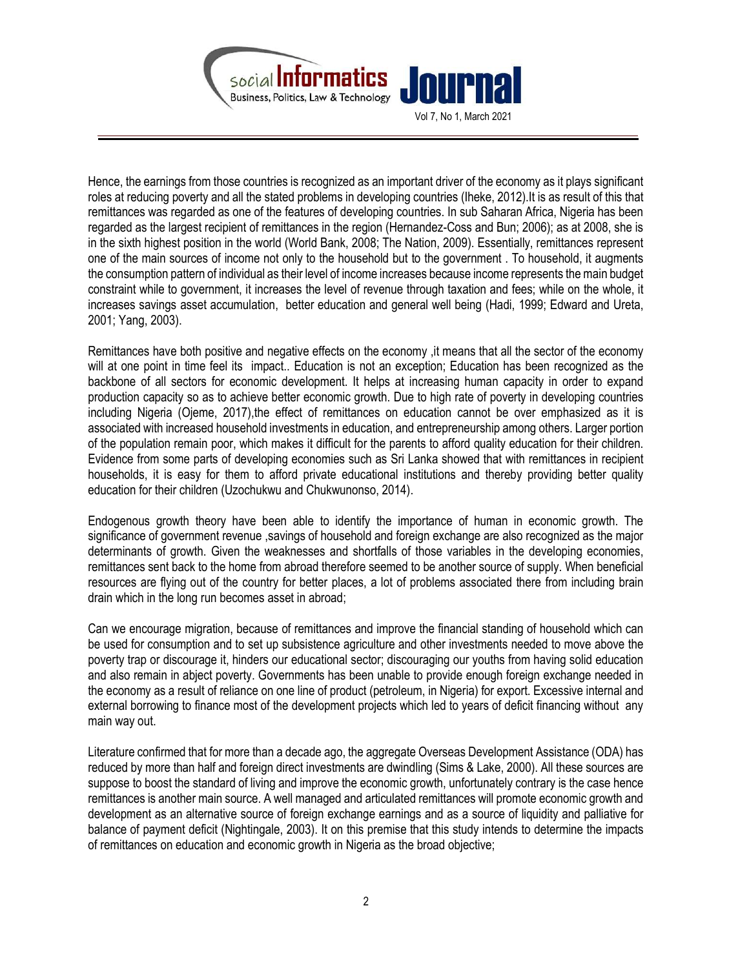

Hence, the earnings from those countries is recognized as an important driver of the economy as it plays significant roles at reducing poverty and all the stated problems in developing countries (Iheke, 2012).It is as result of this that remittances was regarded as one of the features of developing countries. In sub Saharan Africa, Nigeria has been regarded as the largest recipient of remittances in the region (Hernandez-Coss and Bun; 2006); as at 2008, she is in the sixth highest position in the world (World Bank, 2008; The Nation, 2009). Essentially, remittances represent one of the main sources of income not only to the household but to the government . To household, it augments the consumption pattern of individual as their level of income increases because income represents the main budget constraint while to government, it increases the level of revenue through taxation and fees; while on the whole, it increases savings asset accumulation, better education and general well being (Hadi, 1999; Edward and Ureta, 2001; Yang, 2003).

Remittances have both positive and negative effects on the economy ,it means that all the sector of the economy will at one point in time feel its impact.. Education is not an exception; Education has been recognized as the backbone of all sectors for economic development. It helps at increasing human capacity in order to expand production capacity so as to achieve better economic growth. Due to high rate of poverty in developing countries including Nigeria (Ojeme, 2017), the effect of remittances on education cannot be over emphasized as it is associated with increased household investments in education, and entrepreneurship among others. Larger portion of the population remain poor, which makes it difficult for the parents to afford quality education for their children. Evidence from some parts of developing economies such as Sri Lanka showed that with remittances in recipient households, it is easy for them to afford private educational institutions and thereby providing better quality education for their children (Uzochukwu and Chukwunonso, 2014).

Endogenous growth theory have been able to identify the importance of human in economic growth. The significance of government revenue ,savings of household and foreign exchange are also recognized as the major determinants of growth. Given the weaknesses and shortfalls of those variables in the developing economies, remittances sent back to the home from abroad therefore seemed to be another source of supply. When beneficial resources are flying out of the country for better places, a lot of problems associated there from including brain drain which in the long run becomes asset in abroad;

Can we encourage migration, because of remittances and improve the financial standing of household which can be used for consumption and to set up subsistence agriculture and other investments needed to move above the poverty trap or discourage it, hinders our educational sector; discouraging our youths from having solid education and also remain in abject poverty. Governments has been unable to provide enough foreign exchange needed in the economy as a result of reliance on one line of product (petroleum, in Nigeria) for export. Excessive internal and external borrowing to finance most of the development projects which led to years of deficit financing without any main way out.

Literature confirmed that for more than a decade ago, the aggregate Overseas Development Assistance (ODA) has reduced by more than half and foreign direct investments are dwindling (Sims & Lake, 2000). All these sources are suppose to boost the standard of living and improve the economic growth, unfortunately contrary is the case hence remittances is another main source. A well managed and articulated remittances will promote economic growth and development as an alternative source of foreign exchange earnings and as a source of liquidity and palliative for balance of payment deficit (Nightingale, 2003). It on this premise that this study intends to determine the impacts of remittances on education and economic growth in Nigeria as the broad objective;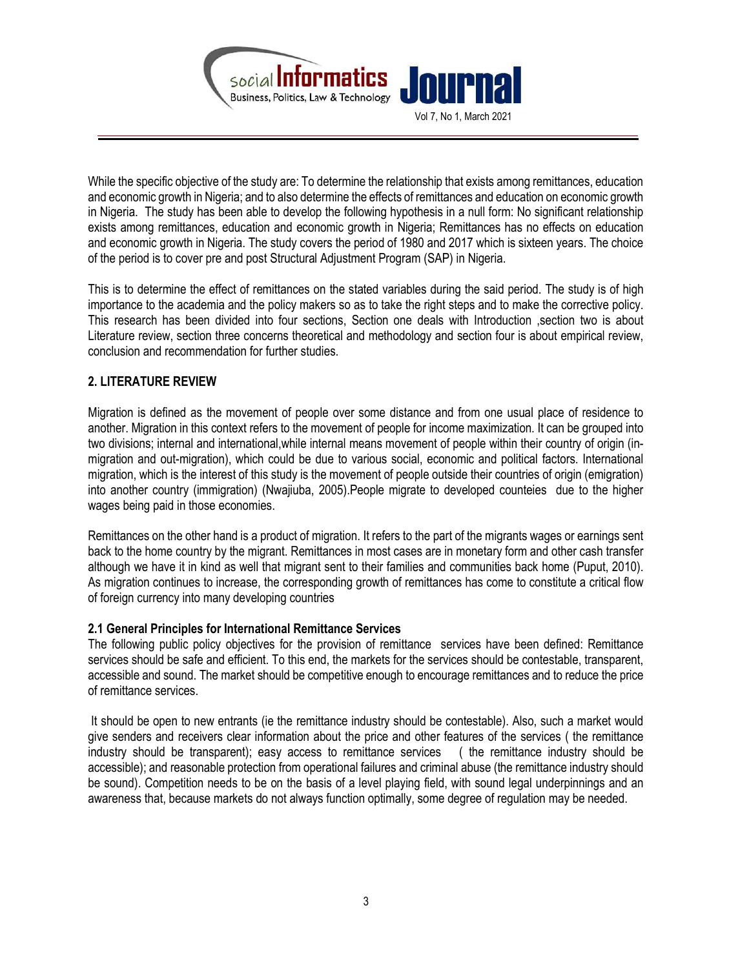

While the specific objective of the study are: To determine the relationship that exists among remittances, education and economic growth in Nigeria; and to also determine the effects of remittances and education on economic growth in Nigeria. The study has been able to develop the following hypothesis in a null form: No significant relationship exists among remittances, education and economic growth in Nigeria; Remittances has no effects on education and economic growth in Nigeria. The study covers the period of 1980 and 2017 which is sixteen years. The choice of the period is to cover pre and post Structural Adjustment Program (SAP) in Nigeria.

This is to determine the effect of remittances on the stated variables during the said period. The study is of high importance to the academia and the policy makers so as to take the right steps and to make the corrective policy. This research has been divided into four sections, Section one deals with Introduction ,section two is about Literature review, section three concerns theoretical and methodology and section four is about empirical review, conclusion and recommendation for further studies.

## 2. LITERATURE REVIEW

Migration is defined as the movement of people over some distance and from one usual place of residence to another. Migration in this context refers to the movement of people for income maximization. It can be grouped into two divisions; internal and international,while internal means movement of people within their country of origin (inmigration and out-migration), which could be due to various social, economic and political factors. International migration, which is the interest of this study is the movement of people outside their countries of origin (emigration) into another country (immigration) (Nwajiuba, 2005).People migrate to developed counteies due to the higher wages being paid in those economies.

Remittances on the other hand is a product of migration. It refers to the part of the migrants wages or earnings sent back to the home country by the migrant. Remittances in most cases are in monetary form and other cash transfer although we have it in kind as well that migrant sent to their families and communities back home (Puput, 2010). As migration continues to increase, the corresponding growth of remittances has come to constitute a critical flow of foreign currency into many developing countries

#### 2.1 General Principles for International Remittance Services

The following public policy objectives for the provision of remittance services have been defined: Remittance services should be safe and efficient. To this end, the markets for the services should be contestable, transparent, accessible and sound. The market should be competitive enough to encourage remittances and to reduce the price of remittance services.

 It should be open to new entrants (ie the remittance industry should be contestable). Also, such a market would give senders and receivers clear information about the price and other features of the services ( the remittance industry should be transparent); easy access to remittance services ( the remittance industry should be accessible); and reasonable protection from operational failures and criminal abuse (the remittance industry should be sound). Competition needs to be on the basis of a level playing field, with sound legal underpinnings and an awareness that, because markets do not always function optimally, some degree of regulation may be needed.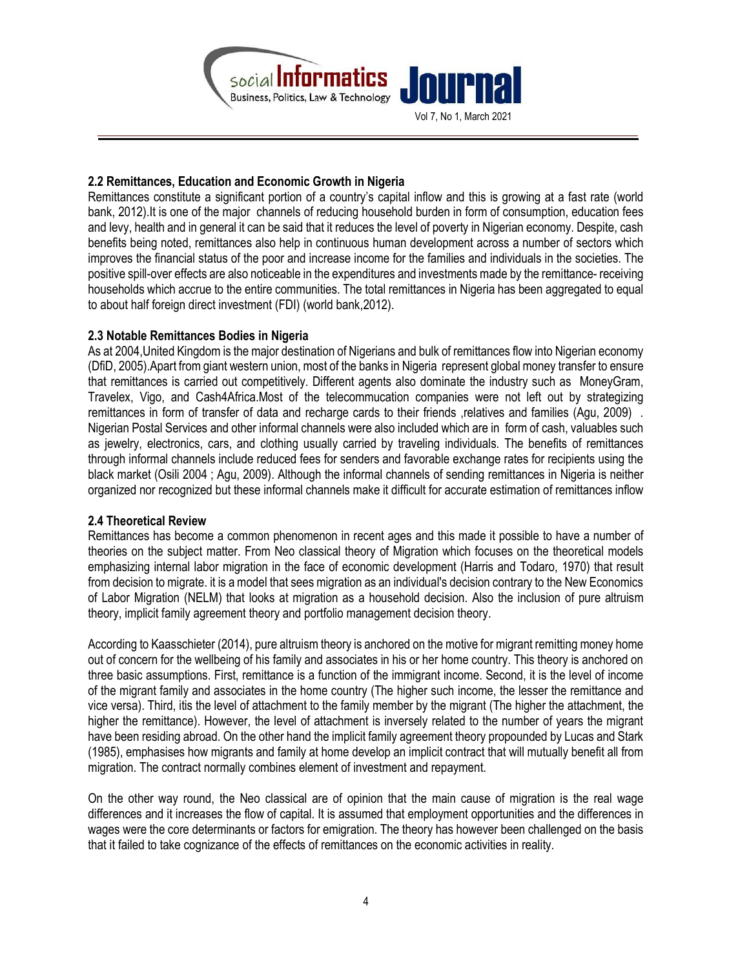

## 2.2 Remittances, Education and Economic Growth in Nigeria

Remittances constitute a significant portion of a country's capital inflow and this is growing at a fast rate (world bank, 2012).It is one of the major channels of reducing household burden in form of consumption, education fees and levy, health and in general it can be said that it reduces the level of poverty in Nigerian economy. Despite, cash benefits being noted, remittances also help in continuous human development across a number of sectors which improves the financial status of the poor and increase income for the families and individuals in the societies. The positive spill-over effects are also noticeable in the expenditures and investments made by the remittance- receiving households which accrue to the entire communities. The total remittances in Nigeria has been aggregated to equal to about half foreign direct investment (FDI) (world bank,2012).

## 2.3 Notable Remittances Bodies in Nigeria

As at 2004,United Kingdom is the major destination of Nigerians and bulk of remittances flow into Nigerian economy (DfiD, 2005).Apart from giant western union, most of the banks in Nigeria represent global money transfer to ensure that remittances is carried out competitively. Different agents also dominate the industry such as MoneyGram, Travelex, Vigo, and Cash4Africa.Most of the telecommucation companies were not left out by strategizing remittances in form of transfer of data and recharge cards to their friends ,relatives and families (Agu, 2009) . Nigerian Postal Services and other informal channels were also included which are in form of cash, valuables such as jewelry, electronics, cars, and clothing usually carried by traveling individuals. The benefits of remittances through informal channels include reduced fees for senders and favorable exchange rates for recipients using the black market (Osili 2004 ; Agu, 2009). Although the informal channels of sending remittances in Nigeria is neither organized nor recognized but these informal channels make it difficult for accurate estimation of remittances inflow

#### 2.4 Theoretical Review

Remittances has become a common phenomenon in recent ages and this made it possible to have a number of theories on the subject matter. From Neo classical theory of Migration which focuses on the theoretical models emphasizing internal labor migration in the face of economic development (Harris and Todaro, 1970) that result from decision to migrate. it is a model that sees migration as an individual's decision contrary to the New Economics of Labor Migration (NELM) that looks at migration as a household decision. Also the inclusion of pure altruism theory, implicit family agreement theory and portfolio management decision theory.

According to Kaasschieter (2014), pure altruism theory is anchored on the motive for migrant remitting money home out of concern for the wellbeing of his family and associates in his or her home country. This theory is anchored on three basic assumptions. First, remittance is a function of the immigrant income. Second, it is the level of income of the migrant family and associates in the home country (The higher such income, the lesser the remittance and vice versa). Third, itis the level of attachment to the family member by the migrant (The higher the attachment, the higher the remittance). However, the level of attachment is inversely related to the number of years the migrant have been residing abroad. On the other hand the implicit family agreement theory propounded by Lucas and Stark (1985), emphasises how migrants and family at home develop an implicit contract that will mutually benefit all from migration. The contract normally combines element of investment and repayment.

On the other way round, the Neo classical are of opinion that the main cause of migration is the real wage differences and it increases the flow of capital. It is assumed that employment opportunities and the differences in wages were the core determinants or factors for emigration. The theory has however been challenged on the basis that it failed to take cognizance of the effects of remittances on the economic activities in reality.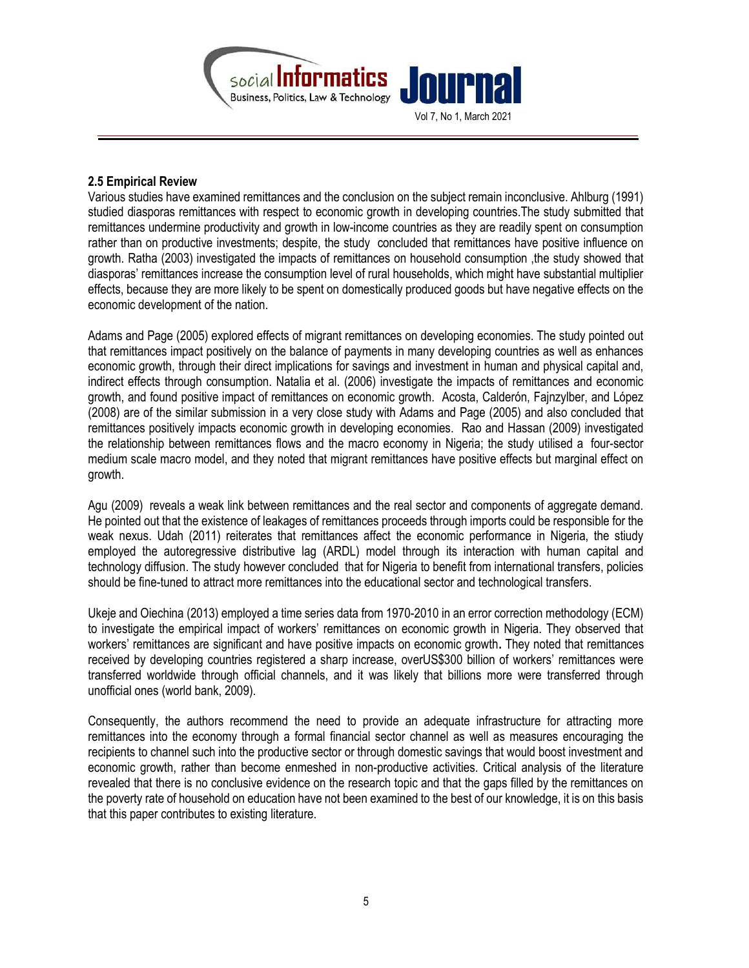

#### 2.5 Empirical Review

Various studies have examined remittances and the conclusion on the subject remain inconclusive. Ahlburg (1991) studied diasporas remittances with respect to economic growth in developing countries.The study submitted that remittances undermine productivity and growth in low-income countries as they are readily spent on consumption rather than on productive investments; despite, the study concluded that remittances have positive influence on growth. Ratha (2003) investigated the impacts of remittances on household consumption ,the study showed that diasporas' remittances increase the consumption level of rural households, which might have substantial multiplier effects, because they are more likely to be spent on domestically produced goods but have negative effects on the economic development of the nation.

Adams and Page (2005) explored effects of migrant remittances on developing economies. The study pointed out that remittances impact positively on the balance of payments in many developing countries as well as enhances economic growth, through their direct implications for savings and investment in human and physical capital and, indirect effects through consumption. Natalia et al. (2006) investigate the impacts of remittances and economic growth, and found positive impact of remittances on economic growth. Acosta, Calderón, Fajnzylber, and López (2008) are of the similar submission in a very close study with Adams and Page (2005) and also concluded that remittances positively impacts economic growth in developing economies. Rao and Hassan (2009) investigated the relationship between remittances flows and the macro economy in Nigeria; the study utilised a four-sector medium scale macro model, and they noted that migrant remittances have positive effects but marginal effect on growth.

Agu (2009) reveals a weak link between remittances and the real sector and components of aggregate demand. He pointed out that the existence of leakages of remittances proceeds through imports could be responsible for the weak nexus. Udah (2011) reiterates that remittances affect the economic performance in Nigeria, the stiudy employed the autoregressive distributive lag (ARDL) model through its interaction with human capital and technology diffusion. The study however concluded that for Nigeria to benefit from international transfers, policies should be fine-tuned to attract more remittances into the educational sector and technological transfers.

Ukeje and Oiechina (2013) employed a time series data from 1970-2010 in an error correction methodology (ECM) to investigate the empirical impact of workers' remittances on economic growth in Nigeria. They observed that workers' remittances are significant and have positive impacts on economic growth. They noted that remittances received by developing countries registered a sharp increase, overUS\$300 billion of workers' remittances were transferred worldwide through official channels, and it was likely that billions more were transferred through unofficial ones (world bank, 2009).

Consequently, the authors recommend the need to provide an adequate infrastructure for attracting more remittances into the economy through a formal financial sector channel as well as measures encouraging the recipients to channel such into the productive sector or through domestic savings that would boost investment and economic growth, rather than become enmeshed in non-productive activities. Critical analysis of the literature revealed that there is no conclusive evidence on the research topic and that the gaps filled by the remittances on the poverty rate of household on education have not been examined to the best of our knowledge, it is on this basis that this paper contributes to existing literature.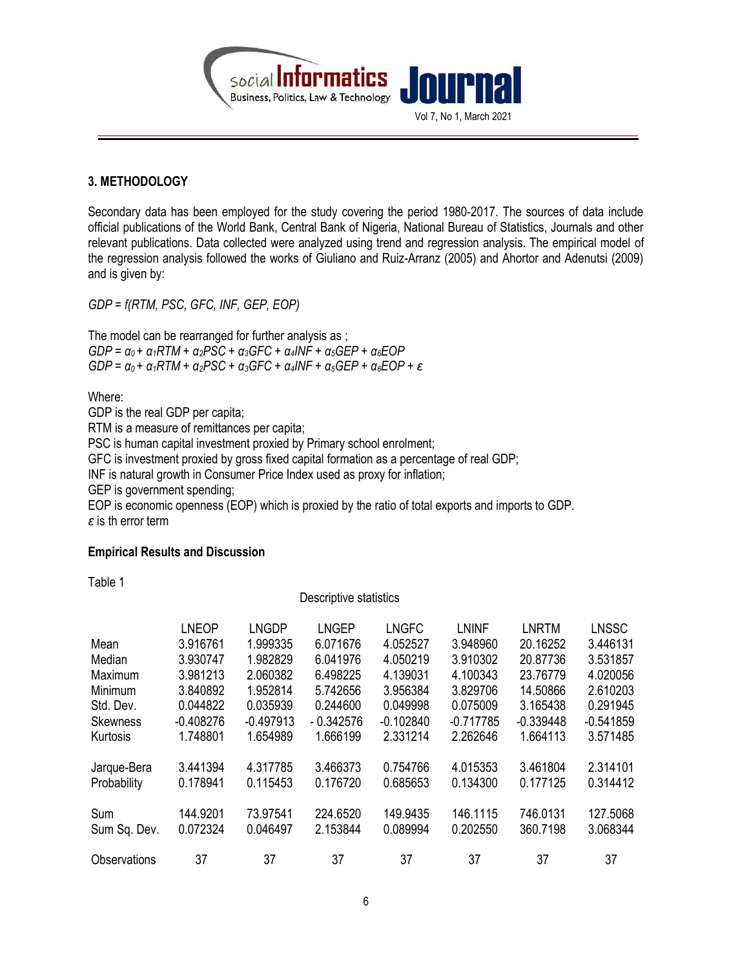

# 3. METHODOLOGY

Secondary data has been employed for the study covering the period 1980-2017. The sources of data include official publications of the World Bank, Central Bank of Nigeria, National Bureau of Statistics, Journals and other relevant publications. Data collected were analyzed using trend and regression analysis. The empirical model of the regression analysis followed the works of Giuliano and Ruiz-Arranz (2005) and Ahortor and Adenutsi (2009) and is given by:

GDP = f(RTM, PSC, GFC, INF, GEP, EOP)

The model can be rearranged for further analysis as ; GDP =  $a_0$  +  $\alpha_1RTM$  +  $\alpha_2PSC$  +  $\alpha_3GFC$  +  $\alpha_4INF$  +  $\alpha_5GEP$  +  $\alpha_6EOP$ GDP =  $\alpha_0$  +  $\alpha_1$ RTM +  $\alpha_2$ PSC +  $\alpha_3$ GFC +  $\alpha_4$ INF +  $\alpha_5$ GEP +  $\alpha_6$ EOP +  $\varepsilon$ 

Where:

GDP is the real GDP per capita; RTM is a measure of remittances per capita; PSC is human capital investment proxied by Primary school enrolment; GFC is investment proxied by gross fixed capital formation as a percentage of real GDP; INF is natural growth in Consumer Price Index used as proxy for inflation; GEP is government spending; EOP is economic openness (EOP) which is proxied by the ratio of total exports and imports to GDP.  $\epsilon$  is th error term

#### Empirical Results and Discussion

Table 1

Descriptive statistics

|                 | <b>LNEOP</b> | <b>LNGDP</b> | <b>LNGEP</b> | <b>LNGFC</b> | <b>LNINF</b> | <b>LNRTM</b> | <b>LNSSC</b> |
|-----------------|--------------|--------------|--------------|--------------|--------------|--------------|--------------|
| Mean            | 3.916761     | 1.999335     | 6.071676     | 4.052527     | 3.948960     | 20.16252     | 3.446131     |
| Median          | 3.930747     | 1.982829     | 6.041976     | 4.050219     | 3.910302     | 20.87736     | 3.531857     |
| Maximum         | 3.981213     | 2.060382     | 6.498225     | 4.139031     | 4.100343     | 23.76779     | 4.020056     |
| Minimum         | 3.840892     | 1.952814     | 5.742656     | 3.956384     | 3.829706     | 14.50866     | 2.610203     |
| Std. Dev.       | 0.044822     | 0.035939     | 0.244600     | 0.049998     | 0.075009     | 3.165438     | 0.291945     |
| <b>Skewness</b> | $-0.408276$  | $-0.497913$  | $-0.342576$  | $-0.102840$  | $-0.717785$  | $-0.339448$  | $-0.541859$  |
| Kurtosis        | 1.748801     | 1.654989     | 1.666199     | 2.331214     | 2.262646     | 1.664113     | 3.571485     |
| Jarque-Bera     | 3.441394     | 4.317785     | 3.466373     | 0.754766     | 4.015353     | 3.461804     | 2.314101     |
| Probability     | 0.178941     | 0.115453     | 0.176720     | 0.685653     | 0.134300     | 0.177125     | 0.314412     |
| Sum             | 144.9201     | 73.97541     | 224.6520     | 149.9435     | 146.1115     | 746.0131     | 127.5068     |
| Sum Sq. Dev.    | 0.072324     | 0.046497     | 2.153844     | 0.089994     | 0.202550     | 360.7198     | 3.068344     |
| Observations    | 37           | 37           | 37           | 37           | 37           | 37           | 37           |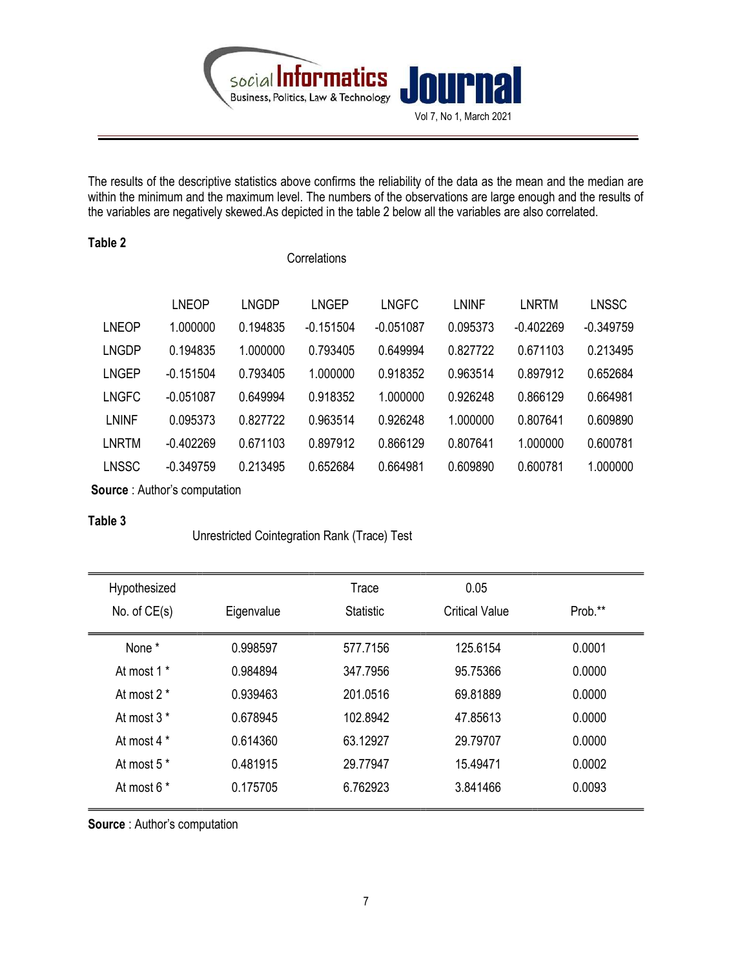

The results of the descriptive statistics above confirms the reliability of the data as the mean and the median are within the minimum and the maximum level. The numbers of the observations are large enough and the results of the variables are negatively skewed.As depicted in the table 2 below all the variables are also correlated.

| Table 2      | Correlations |              |              |              |              |              |              |
|--------------|--------------|--------------|--------------|--------------|--------------|--------------|--------------|
|              | <b>LNEOP</b> | <b>LNGDP</b> | <b>LNGEP</b> | <b>LNGFC</b> | <b>LNINF</b> | <b>LNRTM</b> | <b>LNSSC</b> |
| <b>LNEOP</b> | 1.000000     | 0.194835     | $-0.151504$  | $-0.051087$  | 0.095373     | $-0.402269$  | $-0.349759$  |
| <b>LNGDP</b> | 0.194835     | 1.000000     | 0.793405     | 0.649994     | 0.827722     | 0.671103     | 0.213495     |
| <b>LNGEP</b> | $-0.151504$  | 0.793405     | 1.000000     | 0.918352     | 0.963514     | 0.897912     | 0.652684     |
| <b>LNGFC</b> | $-0.051087$  | 0.649994     | 0.918352     | 1.000000     | 0.926248     | 0.866129     | 0.664981     |
| <b>LNINF</b> | 0.095373     | 0.827722     | 0.963514     | 0.926248     | 1.000000     | 0.807641     | 0.609890     |
| <b>LNRTM</b> | $-0.402269$  | 0.671103     | 0.897912     | 0.866129     | 0.807641     | 1.000000     | 0.600781     |
| LNSSC        | $-0.349759$  | 0.213495     | 0.652684     | 0.664981     | 0.609890     | 0.600781     | 1.000000     |
|              |              |              |              |              |              |              |              |

Source : Author's computation

## Table 3

Unrestricted Cointegration Rank (Trace) Test

| Hypothesized           |            | Trace            | 0.05                  |         |
|------------------------|------------|------------------|-----------------------|---------|
| No. of $CE(s)$         | Eigenvalue | <b>Statistic</b> | <b>Critical Value</b> | Prob.** |
| None *                 | 0.998597   | 577.7156         | 125.6154              | 0.0001  |
| At most 1 <sup>*</sup> | 0.984894   | 347.7956         | 95.75366              | 0.0000  |
| At most $2*$           | 0.939463   | 201.0516         | 69.81889              | 0.0000  |
| At most $3*$           | 0.678945   | 102.8942         | 47.85613              | 0.0000  |
| At most 4 *            | 0.614360   | 63.12927         | 29.79707              | 0.0000  |
| At most 5 <sup>*</sup> | 0.481915   | 29.77947         | 15.49471              | 0.0002  |
| At most $6*$           | 0.175705   | 6.762923         | 3.841466              | 0.0093  |

Source : Author's computation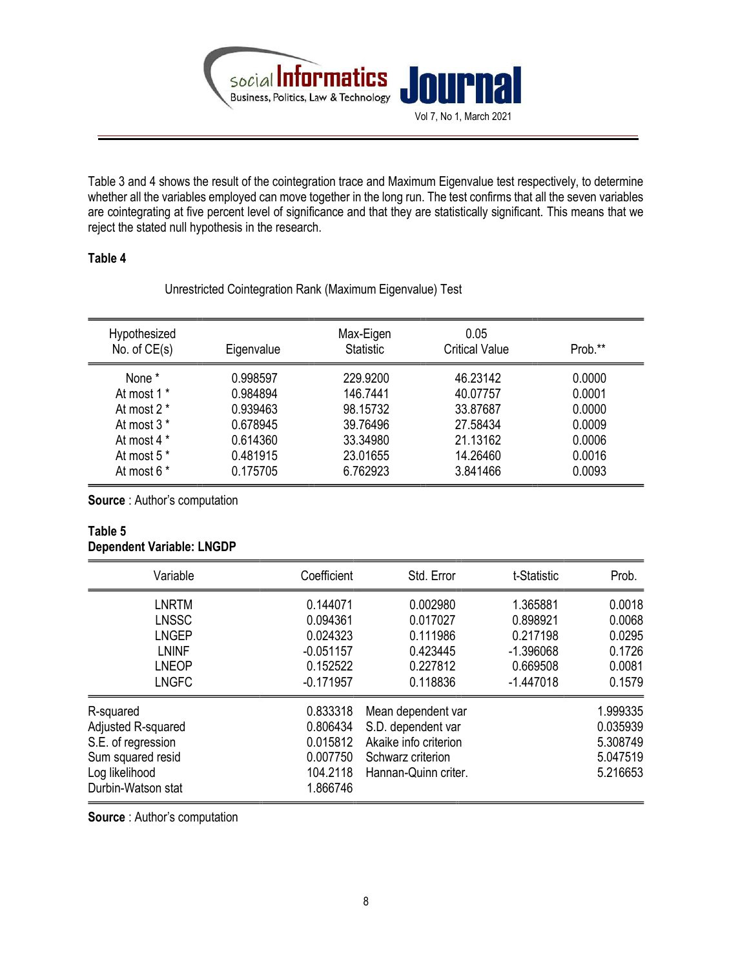

Table 3 and 4 shows the result of the cointegration trace and Maximum Eigenvalue test respectively, to determine whether all the variables employed can move together in the long run. The test confirms that all the seven variables are cointegrating at five percent level of significance and that they are statistically significant. This means that we reject the stated null hypothesis in the research.

## Table 4

Unrestricted Cointegration Rank (Maximum Eigenvalue) Test

| Hypothesized<br>No. of $CE(s)$ | Eigenvalue | Max-Eigen<br><b>Statistic</b> | 0.05<br><b>Critical Value</b> | Prob.** |
|--------------------------------|------------|-------------------------------|-------------------------------|---------|
| None *                         | 0.998597   | 229,9200                      | 46.23142                      | 0.0000  |
| At most 1 *                    | 0.984894   | 146.7441                      | 40.07757                      | 0.0001  |
| At most 2 *                    | 0.939463   | 98.15732                      | 33.87687                      | 0.0000  |
| At most 3 *                    | 0.678945   | 39.76496                      | 27.58434                      | 0.0009  |
| At most 4 *                    | 0.614360   | 33.34980                      | 21.13162                      | 0.0006  |
| At most 5 *                    | 0.481915   | 23.01655                      | 14.26460                      | 0.0016  |
| At most 6 *                    | 0.175705   | 6.762923                      | 3.841466                      | 0.0093  |

Source : Author's computation

#### Table 5 Dependent Variable: LNGDP

| Variable                                                                                                           | Coefficient                                                                | Std. Error                                                                                                     | t-Statistic                                                                | Prob.                                                    |
|--------------------------------------------------------------------------------------------------------------------|----------------------------------------------------------------------------|----------------------------------------------------------------------------------------------------------------|----------------------------------------------------------------------------|----------------------------------------------------------|
| <b>LNRTM</b><br><b>LNSSC</b><br><b>LNGEP</b><br><b>LNINF</b><br><b>LNEOP</b><br><b>LNGFC</b>                       | 0.144071<br>0.094361<br>0.024323<br>$-0.051157$<br>0.152522<br>$-0.171957$ | 0.002980<br>0.017027<br>0.111986<br>0.423445<br>0.227812<br>0.118836                                           | 1.365881<br>0.898921<br>0.217198<br>$-1.396068$<br>0.669508<br>$-1.447018$ | 0.0018<br>0.0068<br>0.0295<br>0.1726<br>0.0081<br>0.1579 |
| R-squared<br>Adjusted R-squared<br>S.E. of regression<br>Sum squared resid<br>Log likelihood<br>Durbin-Watson stat | 0.833318<br>0.806434<br>0.015812<br>0.007750<br>104.2118<br>1.866746       | Mean dependent var<br>S.D. dependent var<br>Akaike info criterion<br>Schwarz criterion<br>Hannan-Quinn criter. |                                                                            | 1.999335<br>0.035939<br>5.308749<br>5.047519<br>5.216653 |

Source : Author's computation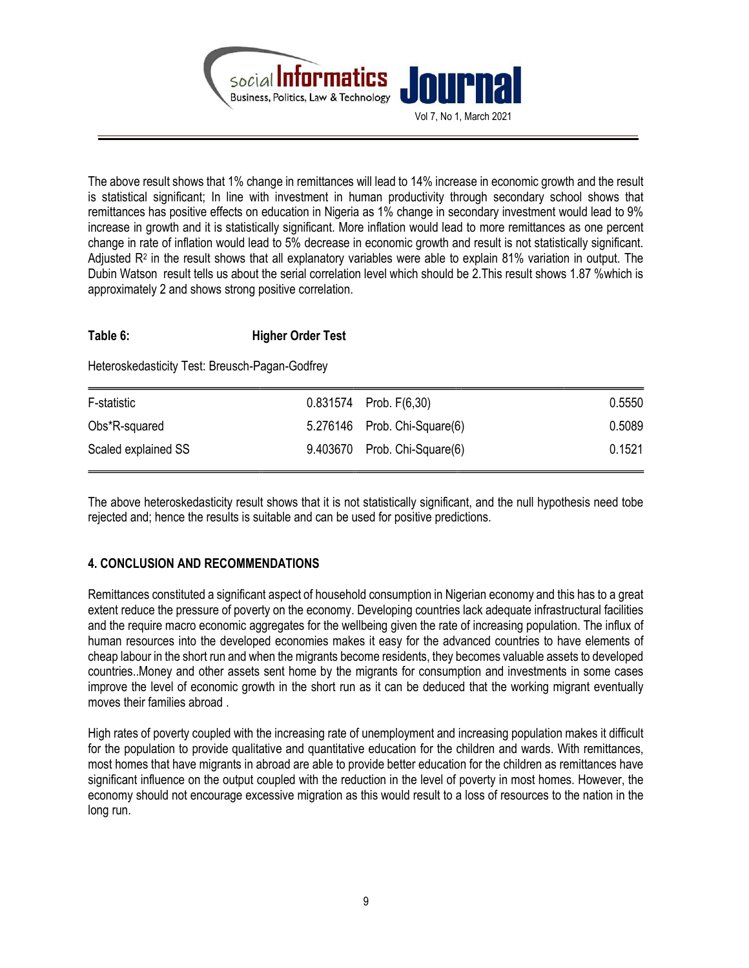

The above result shows that 1% change in remittances will lead to 14% increase in economic growth and the result is statistical significant; In line with investment in human productivity through secondary school shows that remittances has positive effects on education in Nigeria as 1% change in secondary investment would lead to 9% increase in growth and it is statistically significant. More inflation would lead to more remittances as one percent change in rate of inflation would lead to 5% decrease in economic growth and result is not statistically significant. Adjusted R<sup>2</sup> in the result shows that all explanatory variables were able to explain 81% variation in output. The Dubin Watson result tells us about the serial correlation level which should be 2.This result shows 1.87 %which is approximately 2 and shows strong positive correlation.

# Table 6: Higher Order Test

Heteroskedasticity Test: Breusch-Pagan-Godfrey

| F-statistic         | $0.831574$ Prob. $F(6,30)$   | 0.5550 |
|---------------------|------------------------------|--------|
| Obs*R-squared       | 5.276146 Prob. Chi-Square(6) | 0.5089 |
| Scaled explained SS | 9.403670 Prob. Chi-Square(6) | 0.1521 |

The above heteroskedasticity result shows that it is not statistically significant, and the null hypothesis need tobe rejected and; hence the results is suitable and can be used for positive predictions.

# 4. CONCLUSION AND RECOMMENDATIONS

Remittances constituted a significant aspect of household consumption in Nigerian economy and this has to a great extent reduce the pressure of poverty on the economy. Developing countries lack adequate infrastructural facilities and the require macro economic aggregates for the wellbeing given the rate of increasing population. The influx of human resources into the developed economies makes it easy for the advanced countries to have elements of cheap labour in the short run and when the migrants become residents, they becomes valuable assets to developed countries..Money and other assets sent home by the migrants for consumption and investments in some cases improve the level of economic growth in the short run as it can be deduced that the working migrant eventually moves their families abroad .

High rates of poverty coupled with the increasing rate of unemployment and increasing population makes it difficult for the population to provide qualitative and quantitative education for the children and wards. With remittances, most homes that have migrants in abroad are able to provide better education for the children as remittances have significant influence on the output coupled with the reduction in the level of poverty in most homes. However, the economy should not encourage excessive migration as this would result to a loss of resources to the nation in the long run.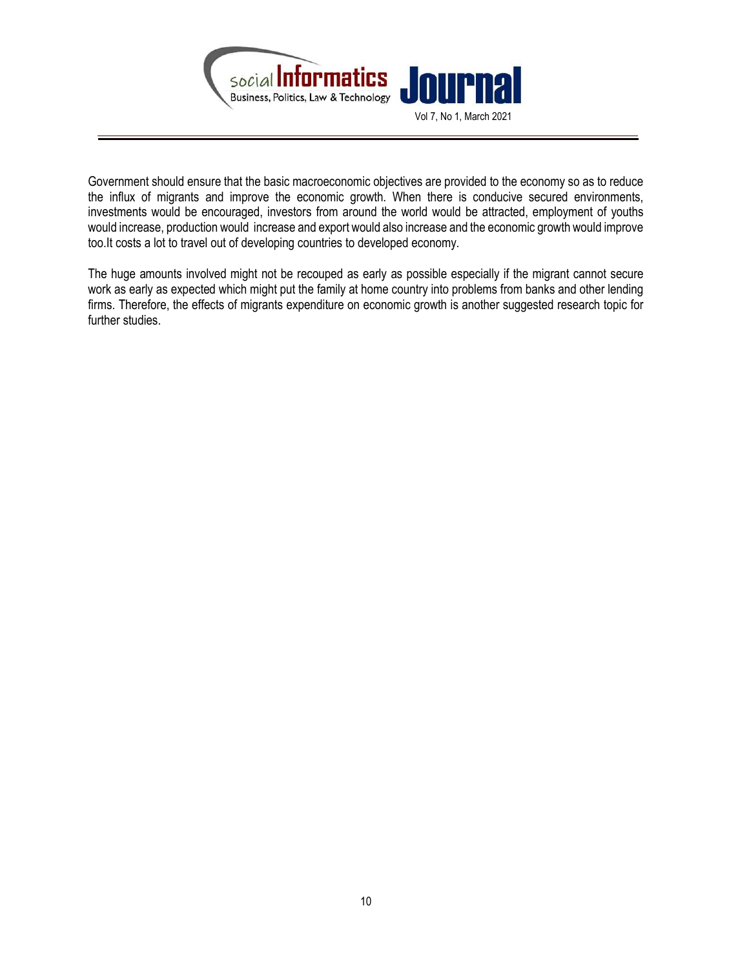

Government should ensure that the basic macroeconomic objectives are provided to the economy so as to reduce the influx of migrants and improve the economic growth. When there is conducive secured environments, investments would be encouraged, investors from around the world would be attracted, employment of youths would increase, production would increase and export would also increase and the economic growth would improve too.It costs a lot to travel out of developing countries to developed economy.

The huge amounts involved might not be recouped as early as possible especially if the migrant cannot secure work as early as expected which might put the family at home country into problems from banks and other lending firms. Therefore, the effects of migrants expenditure on economic growth is another suggested research topic for further studies.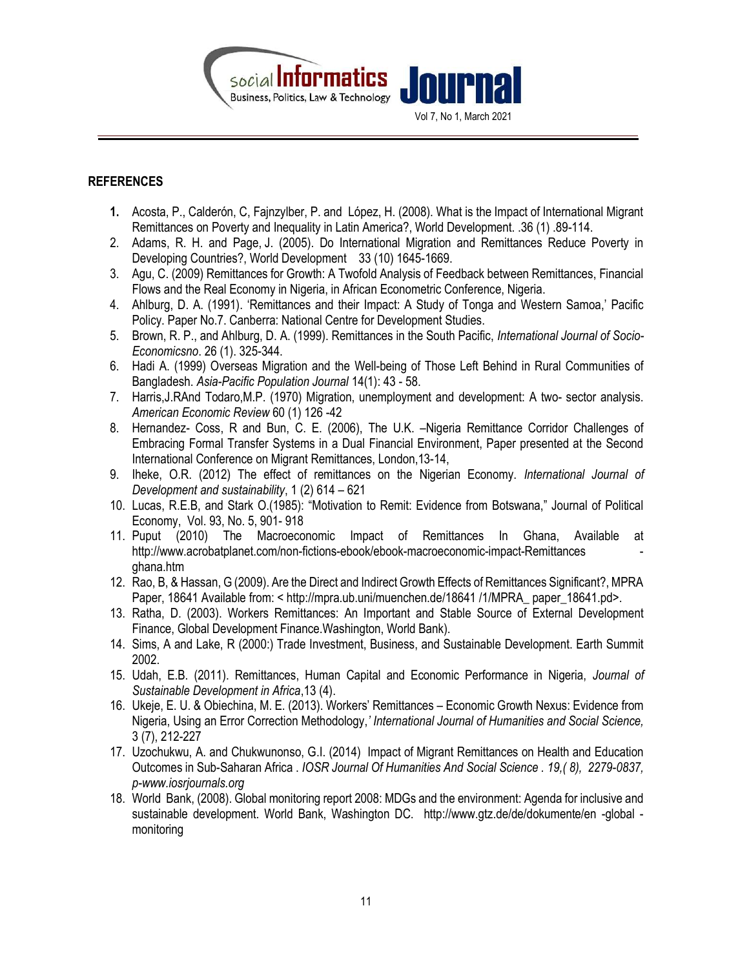

## **REFERENCES**

- 1. Acosta, P., Calderón, C, Fajnzylber, P. and López, H. (2008). What is the Impact of International Migrant Remittances on Poverty and Inequality in Latin America?, World Development. .36 (1) .89-114.
- 2. Adams, R. H. and Page, J. (2005). Do International Migration and Remittances Reduce Poverty in Developing Countries?, World Development 33 (10) 1645-1669.
- 3. Agu, C. (2009) Remittances for Growth: A Twofold Analysis of Feedback between Remittances, Financial Flows and the Real Economy in Nigeria, in African Econometric Conference, Nigeria.
- 4. Ahlburg, D. A. (1991). 'Remittances and their Impact: A Study of Tonga and Western Samoa,' Pacific Policy. Paper No.7. Canberra: National Centre for Development Studies.
- 5. Brown, R. P., and Ahlburg, D. A. (1999). Remittances in the South Pacific, International Journal of Socio-Economicsno. 26 (1). 325-344.
- 6. Hadi A. (1999) Overseas Migration and the Well-being of Those Left Behind in Rural Communities of Bangladesh. Asia-Pacific Population Journal 14(1): 43 - 58.
- 7. Harris,J.RAnd Todaro,M.P. (1970) Migration, unemployment and development: A two- sector analysis. American Economic Review 60 (1) 126 -42
- 8. Hernandez- Coss, R and Bun, C. E. (2006), The U.K. –Nigeria Remittance Corridor Challenges of Embracing Formal Transfer Systems in a Dual Financial Environment, Paper presented at the Second International Conference on Migrant Remittances, London,13-14,
- 9. Iheke, O.R. (2012) The effect of remittances on the Nigerian Economy. International Journal of Development and sustainability, 1 (2) 614 – 621
- 10. Lucas, R.E.B, and Stark O.(1985): "Motivation to Remit: Evidence from Botswana," Journal of Political Economy, Vol. 93, No. 5, 901- 918
- 11. Puput (2010) The Macroeconomic Impact of Remittances In Ghana, Available at http://www.acrobatplanet.com/non-fictions-ebook/ebook-macroeconomic-impact-Remittances ghana.htm
- 12. Rao, B, & Hassan, G (2009). Are the Direct and Indirect Growth Effects of Remittances Significant?, MPRA Paper, 18641 Available from: < http://mpra.ub.uni/muenchen.de/18641 /1/MPRA\_ paper\_18641.pd>.
- 13. Ratha, D. (2003). Workers Remittances: An Important and Stable Source of External Development Finance, Global Development Finance.Washington, World Bank).
- 14. Sims, A and Lake, R (2000:) Trade Investment, Business, and Sustainable Development. Earth Summit 2002.
- 15. Udah, E.B. (2011). Remittances, Human Capital and Economic Performance in Nigeria, Journal of Sustainable Development in Africa,13 (4).
- 16. Ukeje, E. U. & Obiechina, M. E. (2013). Workers' Remittances Economic Growth Nexus: Evidence from Nigeria, Using an Error Correction Methodology,' International Journal of Humanities and Social Science, 3 (7), 212-227
- 17. Uzochukwu, A. and Chukwunonso, G.I. (2014) Impact of Migrant Remittances on Health and Education Outcomes in Sub-Saharan Africa . IOSR Journal Of Humanities And Social Science . 19,( 8), 2279-0837, p-www.iosrjournals.org
- 18. World Bank, (2008). Global monitoring report 2008: MDGs and the environment: Agenda for inclusive and sustainable development. World Bank, Washington DC. http://www.gtz.de/de/dokumente/en -global monitoring